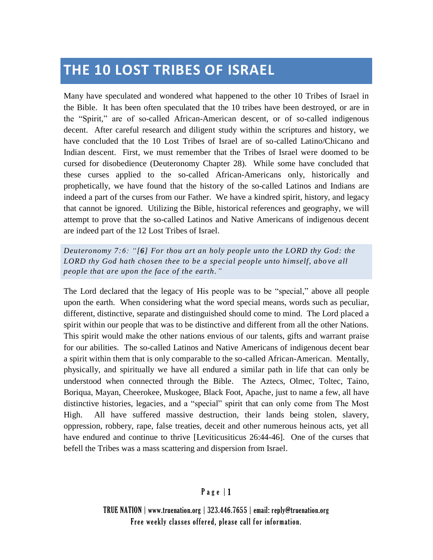# **THE 10 LOST TRIBES OF ISRAEL**

Many have speculated and wondered what happened to the other 10 Tribes of Israel in the Bible. It has been often speculated that the 10 tribes have been destroyed, or are in the "Spirit," are of so-called African-American descent, or of so-called indigenous decent. After careful research and diligent study within the scriptures and history, we have concluded that the 10 Lost Tribes of Israel are of so-called Latino/Chicano and Indian descent. First, we must remember that the Tribes of Israel were doomed to be cursed for disobedience (Deuteronomy Chapter 28). While some have concluded that these curses applied to the so-called African-Americans only, historically and prophetically, we have found that the history of the so-called Latinos and Indians are indeed a part of the curses from our Father. We have a kindred spirit, history, and legacy that cannot be ignored. Utilizing the Bible, historical references and geography, we will attempt to prove that the so-called Latinos and Native Americans of indigenous decent are indeed part of the 12 Lost Tribes of Israel.

*Deuteronomy 7:6: "[6] For thou art an holy people unto the LORD thy God: the LORD thy God hath chosen thee to be a special people unto himself, abo ve all people that are upon the face of the earth."*

The Lord declared that the legacy of His people was to be "special," above all people upon the earth. When considering what the word special means, words such as peculiar, different, distinctive, separate and distinguished should come to mind. The Lord placed a spirit within our people that was to be distinctive and different from all the other Nations. This spirit would make the other nations envious of our talents, gifts and warrant praise for our abilities. The so-called Latinos and Native Americans of indigenous decent bear a spirit within them that is only comparable to the so-called African-American. Mentally, physically, and spiritually we have all endured a similar path in life that can only be understood when connected through the Bible. The Aztecs, Olmec, Toltec, Taino, Boriqua, Mayan, Cheerokee, Muskogee, Black Foot, Apache, just to name a few, all have distinctive histories, legacies, and a "special" spirit that can only come from The Most High. All have suffered massive destruction, their lands being stolen, slavery, oppression, robbery, rape, false treaties, deceit and other numerous heinous acts, yet all have endured and continue to thrive [Leviticusiticus 26:44-46]. One of the curses that befell the Tribes was a mass scattering and dispersion from Israel.

### P a g e | 1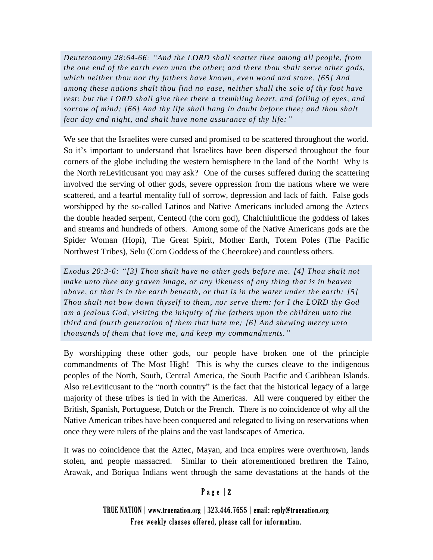*Deuteronomy 28:64-66: "And the LORD shall scatter thee among all people, from the one end of the earth even unto the other; and there thou shalt serve other gods, which neither thou nor thy fathers have known, even wood and stone. [65] And among these nations shalt thou find no ease, neither shall the sole of thy foot have rest: but the LORD shall give thee there a trembling heart, and failing of eyes, and sorrow of mind:* [66] And thy life shall hang in doubt before thee; and thou shalt *fear day and night, and shalt have none assurance of thy life:"*

We see that the Israelites were cursed and promised to be scattered throughout the world. So it's important to understand that Israelites have been dispersed throughout the four corners of the globe including the western hemisphere in the land of the North! Why is the North reLeviticusant you may ask? One of the curses suffered during the scattering involved the serving of other gods, severe oppression from the nations where we were scattered, and a fearful mentality full of sorrow, depression and lack of faith. False gods worshipped by the so-called Latinos and Native Americans included among the Aztecs the double headed serpent, Centeotl (the corn god), Chalchiuhtlicue the goddess of lakes and streams and hundreds of others. Among some of the Native Americans gods are the Spider Woman (Hopi), The Great Spirit, Mother Earth, Totem Poles (The Pacific Northwest Tribes), Selu (Corn Goddess of the Cheerokee) and countless others.

*Exodus 20:3-6: "[3] Thou shalt have no other gods before me. [4] Thou shalt not make unto thee any graven image, or any likeness of any thing that is in heaven above, or that is in the earth beneath, or that is in the water under the earth: [5] Thou shalt not bow down thyself to them, nor serve them: for I the LORD thy God am a jealous God, visiting the iniquity of the fathers upon the children unto the third and fourth generation of them that hate me; [6] And shewing mercy unto thousands of them that love me, and keep my commandments."* 

By worshipping these other gods, our people have broken one of the principle commandments of The Most High! This is why the curses cleave to the indigenous peoples of the North, South, Central America, the South Pacific and Caribbean Islands. Also reLeviticusant to the "north country" is the fact that the historical legacy of a large majority of these tribes is tied in with the Americas. All were conquered by either the British, Spanish, Portuguese, Dutch or the French. There is no coincidence of why all the Native American tribes have been conquered and relegated to living on reservations when once they were rulers of the plains and the vast landscapes of America.

It was no coincidence that the Aztec, Mayan, and Inca empires were overthrown, lands stolen, and people massacred. Similar to their aforementioned brethren the Taino, Arawak, and Boriqua Indians went through the same devastations at the hands of the

#### Page  $|2$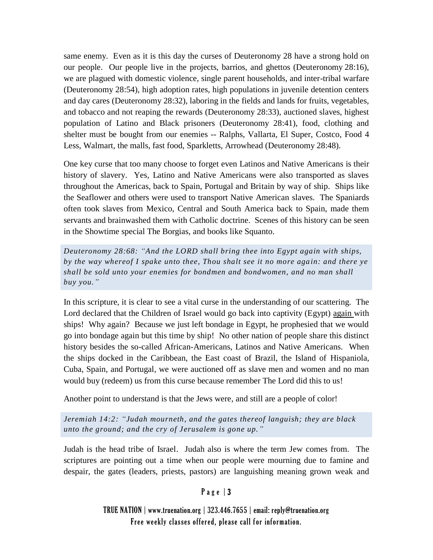same enemy. Even as it is this day the curses of Deuteronomy 28 have a strong hold on our people. Our people live in the projects, barrios, and ghettos (Deuteronomy 28:16), we are plagued with domestic violence, single parent households, and inter-tribal warfare (Deuteronomy 28:54), high adoption rates, high populations in juvenile detention centers and day cares (Deuteronomy 28:32), laboring in the fields and lands for fruits, vegetables, and tobacco and not reaping the rewards (Deuteronomy 28:33), auctioned slaves, highest population of Latino and Black prisoners (Deuteronomy 28:41), food, clothing and shelter must be bought from our enemies -- Ralphs, Vallarta, El Super, Costco, Food 4 Less, Walmart, the malls, fast food, Sparkletts, Arrowhead (Deuteronomy 28:48).

One key curse that too many choose to forget even Latinos and Native Americans is their history of slavery. Yes, Latino and Native Americans were also transported as slaves throughout the Americas, back to Spain, Portugal and Britain by way of ship. Ships like the Seaflower and others were used to transport Native American slaves. The Spaniards often took slaves from Mexico, Central and South America back to Spain, made them servants and brainwashed them with Catholic doctrine. Scenes of this history can be seen in the Showtime special The Borgias, and books like Squanto.

*Deuteronomy 28:68: "And the LORD shall bring thee into Egypt again with ships, by the way whereof I spake unto thee, Thou shalt see it no more again: and there ye shall be sold unto your enemies for bondmen and bondwomen, and no man shall buy you."*

In this scripture, it is clear to see a vital curse in the understanding of our scattering. The Lord declared that the Children of Israel would go back into captivity (Egypt) again with ships! Why again? Because we just left bondage in Egypt, he prophesied that we would go into bondage again but this time by ship! No other nation of people share this distinct history besides the so-called African-Americans, Latinos and Native Americans. When the ships docked in the Caribbean, the East coast of Brazil, the Island of Hispaniola, Cuba, Spain, and Portugal, we were auctioned off as slave men and women and no man would buy (redeem) us from this curse because remember The Lord did this to us!

Another point to understand is that the Jews were, and still are a people of color!

*Jeremiah 14:2: "Judah mourneth, and the gates thereof languish; they are black unto the ground; and the cry of Jerusalem is gone up."*

Judah is the head tribe of Israel. Judah also is where the term Jew comes from. The scriptures are pointing out a time when our people were mourning due to famine and despair, the gates (leaders, priests, pastors) are languishing meaning grown weak and

# Page  $|3$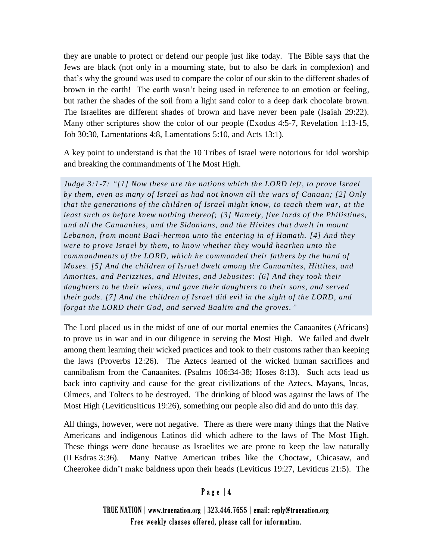they are unable to protect or defend our people just like today. The Bible says that the Jews are black (not only in a mourning state, but to also be dark in complexion) and that's why the ground was used to compare the color of our skin to the different shades of brown in the earth! The earth wasn't being used in reference to an emotion or feeling, but rather the shades of the soil from a light sand color to a deep dark chocolate brown. The Israelites are different shades of brown and have never been pale (Isaiah 29:22). Many other scriptures show the color of our people (Exodus 4:5-7, Revelation 1:13-15, Job 30:30, Lamentations 4:8, Lamentations 5:10, and Acts 13:1).

A key point to understand is that the 10 Tribes of Israel were notorious for idol worship and breaking the commandments of The Most High.

*Judge 3:1-7: "[1] Now these are the nations which the LORD left, to prove Israel by them, even as many of Israel as had not known all the wars of Canaan; [2] Only that the generations of the children of Israel might know, to teach them war, at the least such as before knew nothing thereof; [3] Namely, five lords of the Philistines, and all the Canaanites, and the Sidonians, and the Hivites that dwe lt in mount Lebanon, from mount Baal-hermon unto the entering in of Hamath. [4] And they were to prove Israel by them, to know whether they would hearken unto the commandments of the LORD, which he commanded their fathers by the hand of Moses. [5] And the children of Israel dwelt among the Canaanites, Hittites, and Amorites, and Perizzites, and Hivites, and Jebusites: [6] And they took their daughters to be their wives, and gave their daughters to their sons, and served their gods. [7] And the children of Israel did evil in the sight of the LORD, and forgat the LORD their God, and served Baalim and the groves."*

The Lord placed us in the midst of one of our mortal enemies the Canaanites (Africans) to prove us in war and in our diligence in serving the Most High. We failed and dwelt among them learning their wicked practices and took to their customs rather than keeping the laws (Proverbs 12:26). The Aztecs learned of the wicked human sacrifices and cannibalism from the Canaanites. (Psalms 106:34-38; Hoses 8:13). Such acts lead us back into captivity and cause for the great civilizations of the Aztecs, Mayans, Incas, Olmecs, and Toltecs to be destroyed. The drinking of blood was against the laws of The Most High (Leviticusiticus 19:26), something our people also did and do unto this day.

All things, however, were not negative. There as there were many things that the Native Americans and indigenous Latinos did which adhere to the laws of The Most High. These things were done because as Israelites we are prone to keep the law naturally (II Esdras 3:36). Many Native American tribes like the Choctaw, Chicasaw, and Cheerokee didn't make baldness upon their heads (Leviticus 19:27, Leviticus 21:5). The

# Page  $|4$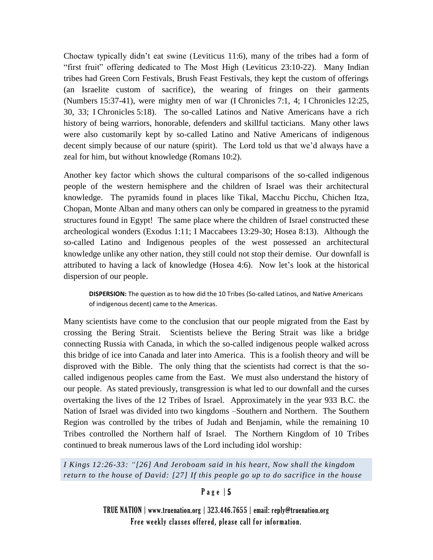Choctaw typically didn't eat swine (Leviticus 11:6), many of the tribes had a form of "first fruit" offering dedicated to The Most High (Leviticus 23:10-22). Many Indian tribes had Green Corn Festivals, Brush Feast Festivals, they kept the custom of offerings (an Israelite custom of sacrifice), the wearing of fringes on their garments (Numbers 15:37-41), were mighty men of war (I Chronicles 7:1, 4; I Chronicles 12:25, 30, 33; I Chronicles 5:18). The so-called Latinos and Native Americans have a rich history of being warriors, honorable, defenders and skillful tacticians. Many other laws were also customarily kept by so-called Latino and Native Americans of indigenous decent simply because of our nature (spirit). The Lord told us that we'd always have a zeal for him, but without knowledge (Romans 10:2).

Another key factor which shows the cultural comparisons of the so-called indigenous people of the western hemisphere and the children of Israel was their architectural knowledge. The pyramids found in places like Tikal, Macchu Picchu, Chichen Itza, Chopan, Monte Alban and many others can only be compared in greatness to the pyramid structures found in Egypt! The same place where the children of Israel constructed these archeological wonders (Exodus 1:11; I Maccabees 13:29-30; Hosea 8:13). Although the so-called Latino and Indigenous peoples of the west possessed an architectural knowledge unlike any other nation, they still could not stop their demise. Our downfall is attributed to having a lack of knowledge (Hosea 4:6). Now let's look at the historical dispersion of our people.

**DISPERSION:** The question as to how did the 10 Tribes (So-called Latinos, and Native Americans of indigenous decent) came to the Americas.

Many scientists have come to the conclusion that our people migrated from the East by crossing the Bering Strait. Scientists believe the Bering Strait was like a bridge connecting Russia with Canada, in which the so-called indigenous people walked across this bridge of ice into Canada and later into America. This is a foolish theory and will be disproved with the Bible. The only thing that the scientists had correct is that the socalled indigenous peoples came from the East. We must also understand the history of our people. As stated previously, transgression is what led to our downfall and the curses overtaking the lives of the 12 Tribes of Israel. Approximately in the year 933 B.C. the Nation of Israel was divided into two kingdoms –Southern and Northern. The Southern Region was controlled by the tribes of Judah and Benjamin, while the remaining 10 Tribes controlled the Northern half of Israel. The Northern Kingdom of 10 Tribes continued to break numerous laws of the Lord including idol worship:

*I Kings 12:26-33: "[26] And Jeroboam said in his heart, Now shall the kingdom return to the house of David: [27] If this people go up to do sacrifice in the house* 

### P a g e | 5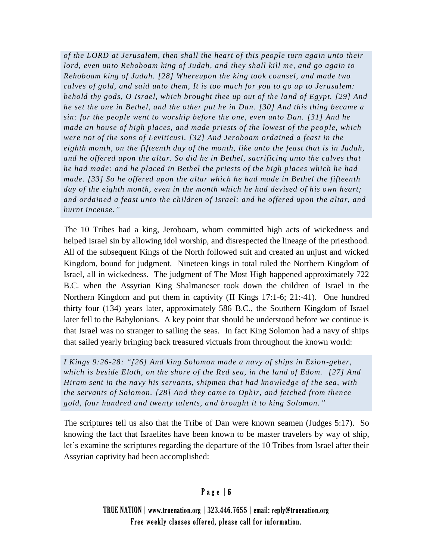*of the LORD at Jerusalem, then shall the heart of this people turn again unto their lord, even unto Rehoboam king of Judah, and they shall kill me, and go again to Rehoboam king of Judah. [28] Whereupon the king took counsel, and made two calves of gold, and said unto them, It is too much for you to go up to Jerusalem: behold thy gods, O Israel, which brought thee up out of the la nd of Egypt. [29] And he set the one in Bethel, and the other put he in Dan. [30] And this thing became a sin: for the people went to worship before the one, even unto Dan. [31] And he made an house of high places, and made priests of the lowest of the peo ple, which were not of the sons of Leviticusi. [32] And Jeroboam ordained a feast in the eighth month, on the fifteenth day of the month, like unto the feast that is in Judah, and he offered upon the altar. So did he in Bethel, sacrificing unto the calves that he had made: and he placed in Bethel the priests of the high places which he had made. [33] So he offered upon the altar which he had made in Bethel the fifteenth day of the eighth month, even in the month which he had devised of his own heart; and ordained a feast unto the children of Israel: and he offered upon the altar, and burnt incense."*

The 10 Tribes had a king, Jeroboam, whom committed high acts of wickedness and helped Israel sin by allowing idol worship, and disrespected the lineage of the priesthood. All of the subsequent Kings of the North followed suit and created an unjust and wicked Kingdom, bound for judgment. Nineteen kings in total ruled the Northern Kingdom of Israel, all in wickedness. The judgment of The Most High happened approximately 722 B.C. when the Assyrian King Shalmaneser took down the children of Israel in the Northern Kingdom and put them in captivity (II Kings 17:1-6; 21:-41). One hundred thirty four (134) years later, approximately 586 B.C., the Southern Kingdom of Israel later fell to the Babylonians. A key point that should be understood before we continue is that Israel was no stranger to sailing the seas. In fact King Solomon had a navy of ships that sailed yearly bringing back treasured victuals from throughout the known world:

*I Kings 9:26-28: "[26] And king Solomon made a navy of ships in Ezion -geber, which is beside Eloth, on the shore of the Red sea, in the land of Edom. [27] And Hiram sent in the navy his servants, shipmen that had knowledge of t he sea, with the servants of Solomon. [28] And they came to Ophir, and fetched from thence gold, four hundred and twenty talents, and brought it to king Solomon."*

The scriptures tell us also that the Tribe of Dan were known seamen (Judges 5:17). So knowing the fact that Israelites have been known to be master travelers by way of ship, let's examine the scriptures regarding the departure of the 10 Tribes from Israel after their Assyrian captivity had been accomplished:

# Page  $| 6$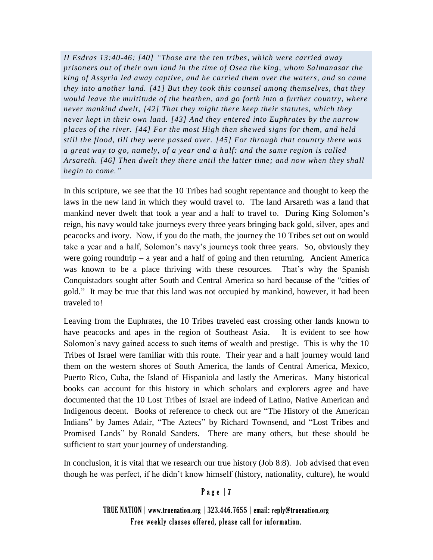*II Esdras 13:40-46: [40] "Those are the ten tribes, which were carried away prisoners out of their own land in the time of Osea the king, whom Salmanasar the king of Assyria led away captive, and he carried them over the waters, and so came they into another land. [41] But they took this counsel among themselves, that they would leave the multitude of the heathen, and go forth into a further country, where never mankind dwelt, [42] That they might there keep their statutes, which they never kept in their own land. [43] And they entered into Euphrates by the narrow places of the river. [44] For the most High then shewed signs for them, and held still the flood, till they were passed over. [45] For through that country there was a great way to go, namely, of a year and a half: and the same region is called Arsareth. [46] Then dwelt they there until the latter time; and now when they shall begin to come."*

In this scripture, we see that the 10 Tribes had sought repentance and thought to keep the laws in the new land in which they would travel to. The land Arsareth was a land that mankind never dwelt that took a year and a half to travel to. During King Solomon's reign, his navy would take journeys every three years bringing back gold, silver, apes and peacocks and ivory. Now, if you do the math, the journey the 10 Tribes set out on would take a year and a half, Solomon's navy's journeys took three years. So, obviously they were going roundtrip  $-$  a year and a half of going and then returning. Ancient America was known to be a place thriving with these resources. That's why the Spanish Conquistadors sought after South and Central America so hard because of the "cities of gold." It may be true that this land was not occupied by mankind, however, it had been traveled to!

Leaving from the Euphrates, the 10 Tribes traveled east crossing other lands known to have peacocks and apes in the region of Southeast Asia. It is evident to see how Solomon's navy gained access to such items of wealth and prestige. This is why the 10 Tribes of Israel were familiar with this route. Their year and a half journey would land them on the western shores of South America, the lands of Central America, Mexico, Puerto Rico, Cuba, the Island of Hispaniola and lastly the Americas. Many historical books can account for this history in which scholars and explorers agree and have documented that the 10 Lost Tribes of Israel are indeed of Latino, Native American and Indigenous decent. Books of reference to check out are "The History of the American Indians" by James Adair, "The Aztecs" by Richard Townsend, and "Lost Tribes and Promised Lands" by Ronald Sanders. There are many others, but these should be sufficient to start your journey of understanding.

In conclusion, it is vital that we research our true history (Job 8:8). Job advised that even though he was perfect, if he didn't know himself (history, nationality, culture), he would

### Page | 7